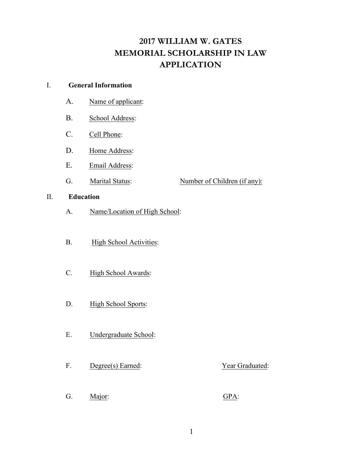# **2017 WILLIAM W. GATES MEMORIAL SCHOLARSHIP IN LAW APPLICATION**

## I. **General Information**

- A. Name of applicant:
- B. School Address:
- C. Cell Phone:
- D. Home Address:
- E. Email Address:
- G. Marital Status: Number of Children (if any):

## II. **Education**

- A. Name/Location of High School:
- B. High School Activities:
- C. High School Awards:
- D. High School Sports:
- E. Undergraduate School:
- F. Degree(s) Earned: Year Graduated:
- G. Major: GPA: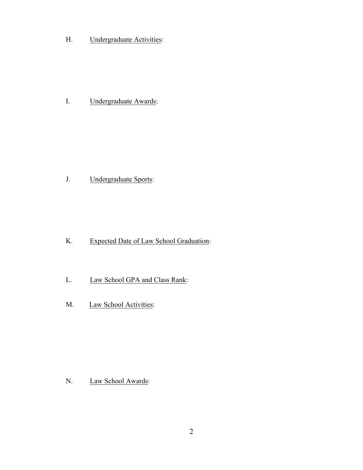H. Undergraduate Activities:

I. Undergraduate Awards:

J. Undergraduate Sports:

- K. Expected Date of Law School Graduation:
- L. Law School GPA and Class Rank:
- M. Law School Activities:

N. Law School Awards: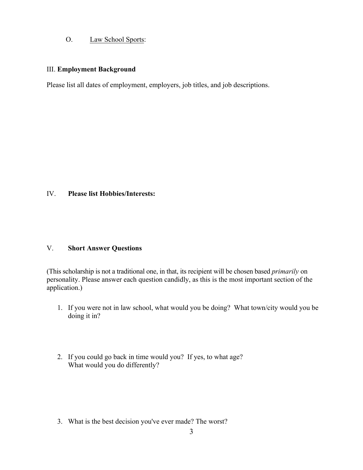# O. Law School Sports:

### III. **Employment Background**

Please list all dates of employment, employers, job titles, and job descriptions.

## IV. **Please list Hobbies/Interests:**

#### V. **Short Answer Questions**

(This scholarship is not a traditional one, in that, its recipient will be chosen based *primarily* on personality. Please answer each question candidly, as this is the most important section of the application.)

- 1. If you were not in law school, what would you be doing? What town/city would you be doing it in?
- 2. If you could go back in time would you? If yes, to what age? What would you do differently?

3. What is the best decision you've ever made? The worst?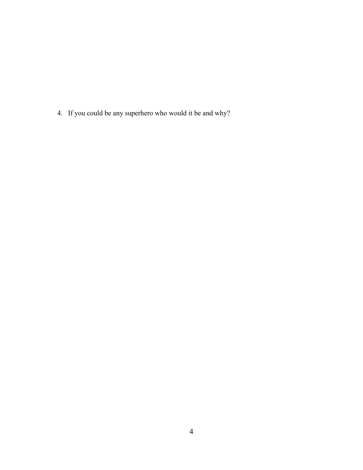4. If you could be any superhero who would it be and why?